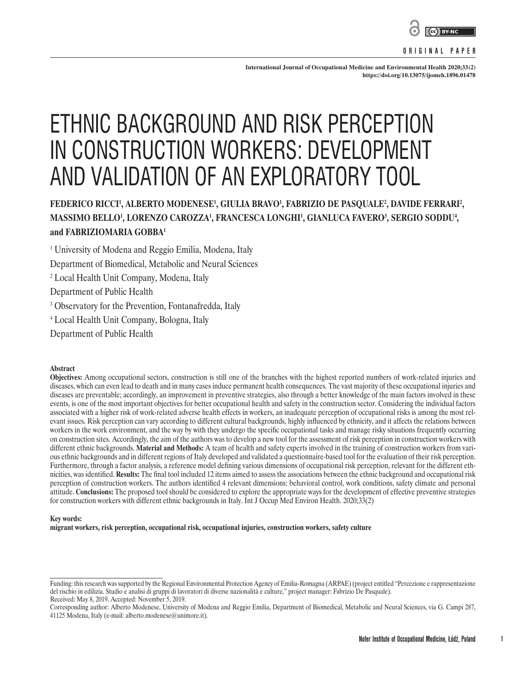

#### **ORIGINAL PAPER**

**International Journal of Occupational Medicine and Environmental Health 2020;33(2) <https://doi.org/10.13075/ijomeh.1896.01478>**

# ETHNIC BACKGROUND AND RISK PERCEPTION IN CONSTRUCTION WORKERS: DEVELOPMENT AND VALIDATION OF AN EXPLORATORY TOOL

## **FEDERICO RICCI1 , ALBERTO MODENESE1 , GIULIA BRAVO1 , FABRIZIO DE PASQUALE2 , DAVIDE FERRARI2 , MASSIMO BELLO1 , LORENZO CAROZZA1 , FRANCESCA LONGHI1 , GIANLUCA FAVERO3 , SERGIO SODDU4 , and FABRIZIOMARIA GOBBA1**

1 University of Modena and Reggio Emilia, Modena, Italy

Department of Biomedical, Metabolic and Neural Sciences

2 Local Health Unit Company, Modena, Italy

Department of Public Health

<sup>3</sup> Observatory for the Prevention, Fontanafredda, Italy

4 Local Health Unit Company, Bologna, Italy

Department of Public Health

#### **Abstract**

**Objectives:** Among occupational sectors, construction is still one of the branches with the highest reported numbers of work-related injuries and diseases, which can even lead to death and in many cases induce permanent health consequences. The vast majority of these occupational injuries and diseases are preventable; accordingly, an improvement in preventive strategies, also through a better knowledge of the main factors involved in these events, is one of the most important objectives for better occupational health and safety in the construction sector. Considering the individual factors associated with a higher risk of work-related adverse health effects in workers, an inadequate perception of occupational risks is among the most relevant issues. Risk perception can vary according to different cultural backgrounds, highly influenced by ethnicity, and it affects the relations between workers in the work environment, and the way by with they undergo the specific occupational tasks and manage risky situations frequently occurring on construction sites. Accordingly, the aim of the authors was to develop a new tool for the assessment of risk perception in construction workers with different ethnic backgrounds. **Material and Methods:** A team of health and safety experts involved in the training of construction workers from various ethnic backgrounds and in different regions of Italy developed and validated a questionnaire-based tool for the evaluation of their risk perception. Furthermore, through a factor analysis, a reference model defining various dimensions of occupational risk perception, relevant for the different ethnicities, was identified. **Results:** The final tool included 12 items aimed to assess the associations between the ethnic background and occupational risk perception of construction workers. The authors identified 4 relevant dimensions: behavioral control, work conditions, safety climate and personal attitude. **Conclusions:** The proposed tool should be considered to explore the appropriate ways for the development of effective preventive strategies for construction workers with different ethnic backgrounds in Italy. Int J Occup Med Environ Health. 2020;33(2)

#### **Key words:**

**migrant workers, risk perception, occupational risk, occupational injuries, construction workers, safety culture**

Funding: this research was supported by the Regional Environmental Protection Agency of Emilia-Romagna (ARPAE) (project entitled "Percezione e rappresentazione del rischio in edilizia. Studio e analisi di gruppi di lavoratori di diverse nazionalità e culture," project manager: Fabrizio De Pasquale). Received: May 8, 2019. Accepted: November 5, 2019.

Corresponding author: Alberto Modenese, University of Modena and Reggio Emilia, Department of Biomedical, Metabolic and Neural Sciences, via G. Campi 287, 41125 Modena, Italy (e-mail: alberto.modenese@unimore.it).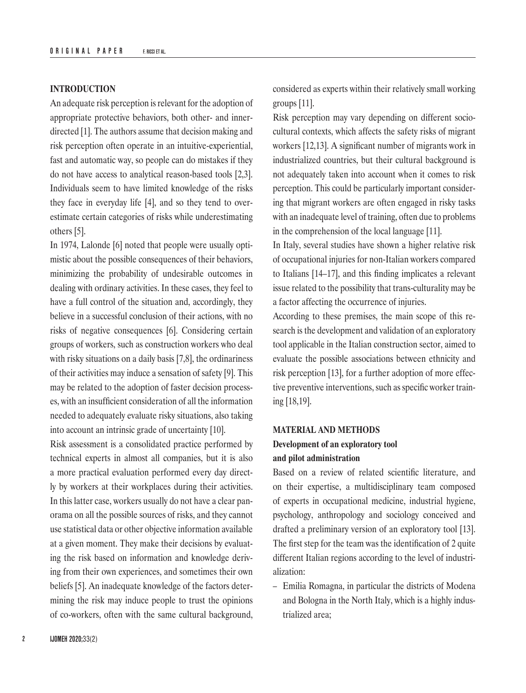#### **INTRODUCTION**

An adequate risk perception is relevant for the adoption of appropriate protective behaviors, both other- and innerdirected [1]. The authors assume that decision making and risk perception often operate in an intuitive-experiential, fast and automatic way, so people can do mistakes if they do not have access to analytical reason-based tools [2,3]. Individuals seem to have limited knowledge of the risks they face in everyday life [4], and so they tend to overestimate certain categories of risks while underestimating others [5].

In 1974, Lalonde [6] noted that people were usually optimistic about the possible consequences of their behaviors, minimizing the probability of undesirable outcomes in dealing with ordinary activities. In these cases, they feel to have a full control of the situation and, accordingly, they believe in a successful conclusion of their actions, with no risks of negative consequences [6]. Considering certain groups of workers, such as construction workers who deal with risky situations on a daily basis [7,8], the ordinariness of their activities may induce a sensation of safety [9]. This may be related to the adoption of faster decision processes, with an insufficient consideration of all the information needed to adequately evaluate risky situations, also taking into account an intrinsic grade of uncertainty [10].

Risk assessment is a consolidated practice performed by technical experts in almost all companies, but it is also a more practical evaluation performed every day directly by workers at their workplaces during their activities. In this latter case, workers usually do not have a clear panorama on all the possible sources of risks, and they cannot use statistical data or other objective information available at a given moment. They make their decisions by evaluating the risk based on information and knowledge deriving from their own experiences, and sometimes their own beliefs [5]. An inadequate knowledge of the factors determining the risk may induce people to trust the opinions of co-workers, often with the same cultural background,

considered as experts within their relatively small working groups [11].

Risk perception may vary depending on different sociocultural contexts, which affects the safety risks of migrant workers [12,13]. A significant number of migrants work in industrialized countries, but their cultural background is not adequately taken into account when it comes to risk perception. This could be particularly important considering that migrant workers are often engaged in risky tasks with an inadequate level of training, often due to problems in the comprehension of the local language [11].

In Italy, several studies have shown a higher relative risk of occupational injuries for non-Italian workers compared to Italians [14–17], and this finding implicates a relevant issue related to the possibility that trans-culturality may be a factor affecting the occurrence of injuries.

According to these premises, the main scope of this research is the development and validation of an exploratory tool applicable in the Italian construction sector, aimed to evaluate the possible associations between ethnicity and risk perception [13], for a further adoption of more effective preventive interventions, such as specific worker training [18,19].

#### **MATERIAL AND METHODS**

## **Development of an exploratory tool and pilot administration**

Based on a review of related scientific literature, and on their expertise, a multidisciplinary team composed of experts in occupational medicine, industrial hygiene, psychology, anthropology and sociology conceived and drafted a preliminary version of an exploratory tool [13]. The first step for the team was the identification of 2 quite different Italian regions according to the level of industrialization:

– Emilia Romagna, in particular the districts of Modena and Bologna in the North Italy, which is a highly industrialized area;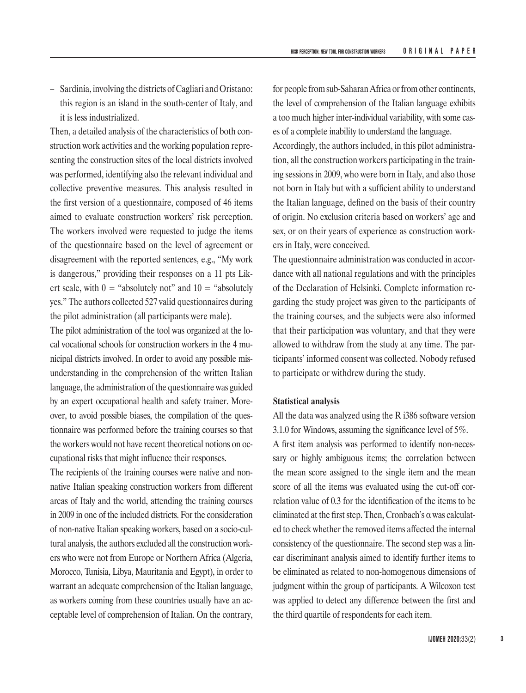– Sardinia, involving the districts of Cagliari and Oristano: this region is an island in the south-center of Italy, and it is less industrialized.

Then, a detailed analysis of the characteristics of both construction work activities and the working population representing the construction sites of the local districts involved was performed, identifying also the relevant individual and collective preventive measures. This analysis resulted in the first version of a questionnaire, composed of 46 items aimed to evaluate construction workers' risk perception. The workers involved were requested to judge the items of the questionnaire based on the level of agreement or disagreement with the reported sentences, e.g., "My work is dangerous," providing their responses on a 11 pts Likert scale, with  $0 =$  "absolutely not" and  $10 =$  "absolutely yes." The authors collected 527 valid questionnaires during the pilot administration (all participants were male).

The pilot administration of the tool was organized at the local vocational schools for construction workers in the 4 municipal districts involved. In order to avoid any possible misunderstanding in the comprehension of the written Italian language, the administration of the questionnaire was guided by an expert occupational health and safety trainer. Moreover, to avoid possible biases, the compilation of the questionnaire was performed before the training courses so that the workers would not have recent theoretical notions on occupational risks that might influence their responses.

The recipients of the training courses were native and nonnative Italian speaking construction workers from different areas of Italy and the world, attending the training courses in 2009 in one of the included districts. For the consideration of non-native Italian speaking workers, based on a socio-cultural analysis, the authors excluded all the construction workers who were not from Europe or Northern Africa (Algeria, Morocco, Tunisia, Libya, Mauritania and Egypt), in order to warrant an adequate comprehension of the Italian language, as workers coming from these countries usually have an acceptable level of comprehension of Italian. On the contrary,

for people from sub-Saharan Africa or from other continents, the level of comprehension of the Italian language exhibits a too much higher inter-individual variability, with some cases of a complete inability to understand the language. Accordingly, the authors included, in this pilot administration, all the construction workers participating in the training sessions in 2009, who were born in Italy, and also those not born in Italy but with a sufficient ability to understand the Italian language, defined on the basis of their country of origin. No exclusion criteria based on workers' age and sex, or on their years of experience as construction work-

The questionnaire administration was conducted in accordance with all national regulations and with the principles of the Declaration of Helsinki. Complete information regarding the study project was given to the participants of the training courses, and the subjects were also informed that their participation was voluntary, and that they were allowed to withdraw from the study at any time. The participants' informed consent was collected. Nobody refused to participate or withdrew during the study.

#### **Statistical analysis**

ers in Italy, were conceived.

All the data was analyzed using the R i386 software version 3.1.0 for Windows, assuming the significance level of 5%.

A first item analysis was performed to identify non-necessary or highly ambiguous items; the correlation between the mean score assigned to the single item and the mean score of all the items was evaluated using the cut-off correlation value of 0.3 for the identification of the items to be eliminated at the first step. Then, Cronbach's  $\alpha$  was calculated to check whether the removed items affected the internal consistency of the questionnaire. The second step was a linear discriminant analysis aimed to identify further items to be eliminated as related to non-homogenous dimensions of judgment within the group of participants. A Wilcoxon test was applied to detect any difference between the first and the third quartile of respondents for each item.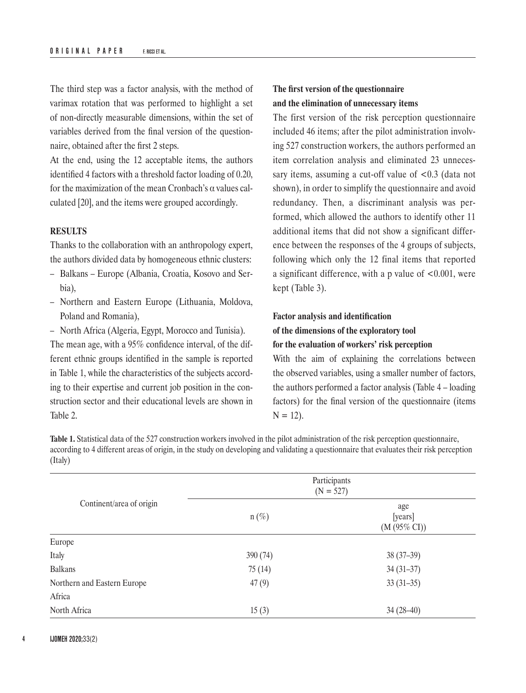The third step was a factor analysis, with the method of varimax rotation that was performed to highlight a set of non-directly measurable dimensions, within the set of variables derived from the final version of the questionnaire, obtained after the first 2 steps.

At the end, using the 12 acceptable items, the authors identified 4 factors with a threshold factor loading of 0.20, for the maximization of the mean Cronbach's α values calculated [20], and the items were grouped accordingly.

#### **RESULTS**

Thanks to the collaboration with an anthropology expert, the authors divided data by homogeneous ethnic clusters:

- Balkans Europe (Albania, Croatia, Kosovo and Serbia),
- Northern and Eastern Europe (Lithuania, Moldova, Poland and Romania),
- North Africa (Algeria, Egypt, Morocco and Tunisia).

The mean age, with a 95% confidence interval, of the different ethnic groups identified in the sample is reported in Table 1, while the characteristics of the subjects according to their expertise and current job position in the construction sector and their educational levels are shown in Table 2.

### **The first version of the questionnaire and the elimination of unnecessary items**

The first version of the risk perception questionnaire included 46 items; after the pilot administration involving 527 construction workers, the authors performed an item correlation analysis and eliminated 23 unnecessary items, assuming a cut-off value of <0.3 (data not shown), in order to simplify the questionnaire and avoid redundancy. Then, a discriminant analysis was performed, which allowed the authors to identify other 11 additional items that did not show a significant difference between the responses of the 4 groups of subjects, following which only the 12 final items that reported a significant difference, with a p value of <0.001, were kept (Table 3).

## **Factor analysis and identification**

## **of the dimensions of the exploratory tool**

**for the evaluation of workers' risk perception**

With the aim of explaining the correlations between the observed variables, using a smaller number of factors, the authors performed a factor analysis (Table 4 – loading factors) for the final version of the questionnaire (items  $N = 12$ ).

**Table 1.** Statistical data of the 527 construction workers involved in the pilot administration of the risk perception questionnaire, according to 4 different areas of origin, in the study on developing and validating a questionnaire that evaluates their risk perception (Italy)

|                             | Participants<br>$(N = 527)$ |                                   |  |
|-----------------------------|-----------------------------|-----------------------------------|--|
| Continent/area of origin    | $n(\%)$                     | age<br>[years]<br>$(M (95\% CI))$ |  |
| Europe                      |                             |                                   |  |
| Italy                       | 390(74)                     | $38(37-39)$                       |  |
| <b>Balkans</b>              | 75(14)                      | $34(31-37)$                       |  |
| Northern and Eastern Europe | 47(9)                       | $33(31-35)$                       |  |
| Africa                      |                             |                                   |  |
| North Africa                | 15(3)                       | $34(28-40)$                       |  |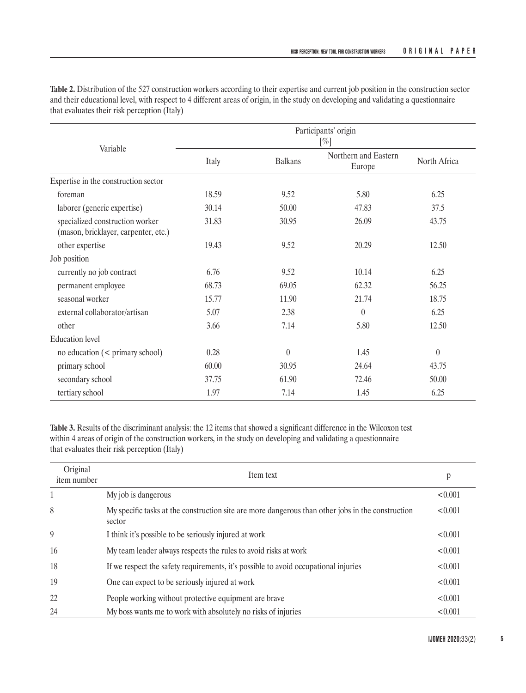|                                                                         | Participants' origin<br>$[\%]$ |                |                                |              |
|-------------------------------------------------------------------------|--------------------------------|----------------|--------------------------------|--------------|
| Variable                                                                | Italy                          | <b>Balkans</b> | Northern and Eastern<br>Europe | North Africa |
| Expertise in the construction sector                                    |                                |                |                                |              |
| foreman                                                                 | 18.59                          | 9.52           | 5.80                           | 6.25         |
| laborer (generic expertise)                                             | 30.14                          | 50.00          | 47.83                          | 37.5         |
| specialized construction worker<br>(mason, bricklayer, carpenter, etc.) | 31.83                          | 30.95          | 26.09                          | 43.75        |
| other expertise                                                         | 19.43                          | 9.52           | 20.29                          | 12.50        |
| Job position                                                            |                                |                |                                |              |
| currently no job contract                                               | 6.76                           | 9.52           | 10.14                          | 6.25         |
| permanent employee                                                      | 68.73                          | 69.05          | 62.32                          | 56.25        |
| seasonal worker                                                         | 15.77                          | 11.90          | 21.74                          | 18.75        |
| external collaborator/artisan                                           | 5.07                           | 2.38           | $\theta$                       | 6.25         |
| other                                                                   | 3.66                           | 7.14           | 5.80                           | 12.50        |
| <b>Education</b> level                                                  |                                |                |                                |              |
| no education $(<$ primary school)                                       | 0.28                           | $\theta$       | 1.45                           | $\theta$     |
| primary school                                                          | 60.00                          | 30.95          | 24.64                          | 43.75        |
| secondary school                                                        | 37.75                          | 61.90          | 72.46                          | 50.00        |
| tertiary school                                                         | 1.97                           | 7.14           | 1.45                           | 6.25         |

**Table 2.** Distribution of the 527 construction workers according to their expertise and current job position in the construction sector and their educational level, with respect to 4 different areas of origin, in the study on developing and validating a questionnaire that evaluates their risk perception (Italy)

**Table 3.** Results of the discriminant analysis: the 12 items that showed a significant difference in the Wilcoxon test within 4 areas of origin of the construction workers, in the study on developing and validating a questionnaire that evaluates their risk perception (Italy)

| Original<br>item number | Item text                                                                                                   | p       |
|-------------------------|-------------------------------------------------------------------------------------------------------------|---------|
| 1                       | My job is dangerous                                                                                         | < 0.001 |
| 8                       | My specific tasks at the construction site are more dangerous than other jobs in the construction<br>sector | < 0.001 |
| 9                       | I think it's possible to be seriously injured at work                                                       | < 0.001 |
| 16                      | My team leader always respects the rules to avoid risks at work                                             | < 0.001 |
| 18                      | If we respect the safety requirements, it's possible to avoid occupational injuries                         | < 0.001 |
| 19                      | One can expect to be seriously injured at work                                                              | < 0.001 |
| 22                      | People working without protective equipment are brave                                                       | < 0.001 |
| 24                      | My boss wants me to work with absolutely no risks of injuries                                               | < 0.001 |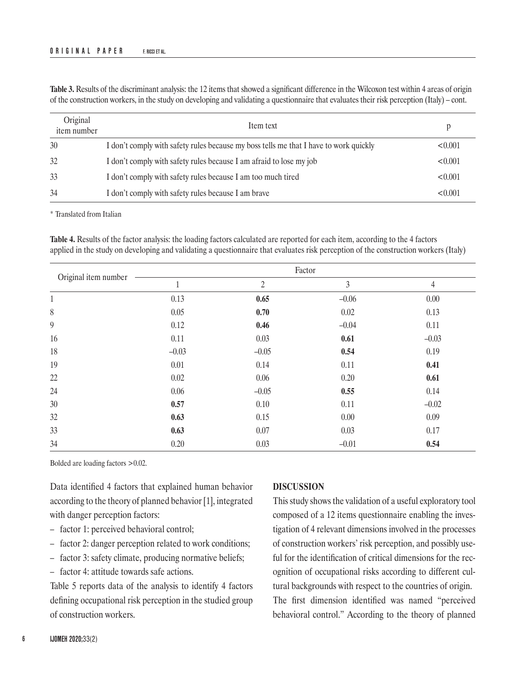| Original<br>item number | Item text                                                                             | р       |
|-------------------------|---------------------------------------------------------------------------------------|---------|
| 30                      | I don't comply with safety rules because my boss tells me that I have to work quickly | < 0.001 |
| 32                      | I don't comply with safety rules because I am afraid to lose my job                   | < 0.001 |
| 33                      | I don't comply with safety rules because I am too much tired                          | < 0.001 |
| 34                      | I don't comply with safety rules because I am brave                                   | < 0.001 |

**Table 3.** Results of the discriminant analysis: the 12 items that showed a significant difference in the Wilcoxon test within 4 areas of origin of the construction workers, in the study on developing and validating a questionnaire that evaluates their risk perception (Italy) – cont.

\* Translated from Italian

**Table 4.** Results of the factor analysis: the loading factors calculated are reported for each item, according to the 4 factors applied in the study on developing and validating a questionnaire that evaluates risk perception of the construction workers (Italy)

| Original item number |              |                | Factor  |          |
|----------------------|--------------|----------------|---------|----------|
|                      | $\mathbf{1}$ | $\overline{2}$ | 3       | 4        |
| $\mathbf{1}$         | 0.13         | 0.65           | $-0.06$ | $0.00\,$ |
| 8                    | 0.05         | 0.70           | 0.02    | 0.13     |
| 9                    | 0.12         | 0.46           | $-0.04$ | 0.11     |
| 16                   | 0.11         | 0.03           | 0.61    | $-0.03$  |
| 18                   | $-0.03$      | $-0.05$        | 0.54    | 0.19     |
| 19                   | 0.01         | 0.14           | 0.11    | 0.41     |
| $22\,$               | 0.02         | 0.06           | 0.20    | 0.61     |
| 24                   | 0.06         | $-0.05$        | 0.55    | 0.14     |
| 30                   | 0.57         | 0.10           | 0.11    | $-0.02$  |
| 32                   | 0.63         | 0.15           | 0.00    | 0.09     |
| 33                   | 0.63         | 0.07           | 0.03    | 0.17     |
| 34                   | 0.20         | 0.03           | $-0.01$ | 0.54     |

Bolded are loading factors >0.02.

Data identified 4 factors that explained human behavior according to the theory of planned behavior [1], integrated with danger perception factors:

- factor 1: perceived behavioral control;
- factor 2: danger perception related to work conditions;
- factor 3: safety climate, producing normative beliefs;
- factor 4: attitude towards safe actions.

Table 5 reports data of the analysis to identify 4 factors defining occupational risk perception in the studied group of construction workers.

#### **DISCUSSION**

This study shows the validation of a useful exploratory tool composed of a 12 items questionnaire enabling the investigation of 4 relevant dimensions involved in the processes of construction workers' risk perception, and possibly useful for the identification of critical dimensions for the recognition of occupational risks according to different cultural backgrounds with respect to the countries of origin. The first dimension identified was named "perceived behavioral control." According to the theory of planned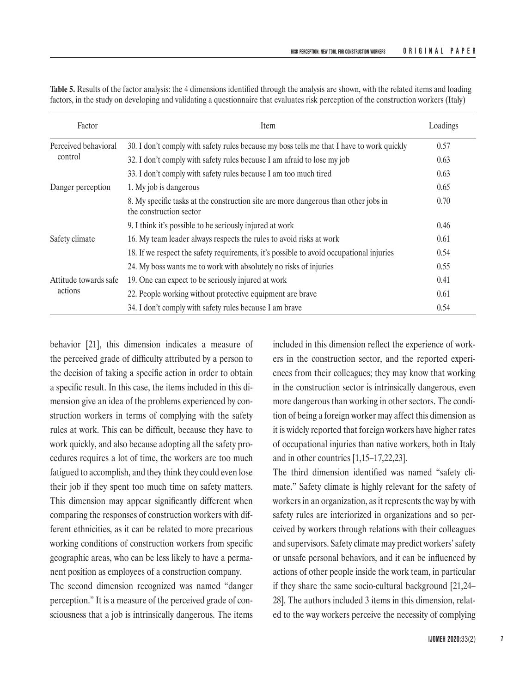| Factor                           | Item                                                                                                           | Loadings |
|----------------------------------|----------------------------------------------------------------------------------------------------------------|----------|
| Perceived behavioral<br>control  | 30. I don't comply with safety rules because my boss tells me that I have to work quickly                      | 0.57     |
|                                  | 32. I don't comply with safety rules because I am afraid to lose my job                                        | 0.63     |
|                                  | 33. I don't comply with safety rules because I am too much tired                                               | 0.63     |
| Danger perception                | 1. My job is dangerous                                                                                         | 0.65     |
|                                  | 8. My specific tasks at the construction site are more dangerous than other jobs in<br>the construction sector | 0.70     |
|                                  | 9. I think it's possible to be seriously injured at work                                                       | 0.46     |
| Safety climate                   | 16. My team leader always respects the rules to avoid risks at work                                            | 0.61     |
|                                  | 18. If we respect the safety requirements, it's possible to avoid occupational injuries                        | 0.54     |
|                                  | 24. My boss wants me to work with absolutely no risks of injuries                                              | 0.55     |
| Attitude towards safe<br>actions | 19. One can expect to be seriously injured at work                                                             | 0.41     |
|                                  | 22. People working without protective equipment are brave                                                      | 0.61     |
|                                  | 34. I don't comply with safety rules because I am brave                                                        | 0.54     |

**Table 5.** Results of the factor analysis: the 4 dimensions identified through the analysis are shown, with the related items and loading factors, in the study on developing and validating a questionnaire that evaluates risk perception of the construction workers (Italy)

behavior [21], this dimension indicates a measure of the perceived grade of difficulty attributed by a person to the decision of taking a specific action in order to obtain a specific result. In this case, the items included in this dimension give an idea of the problems experienced by construction workers in terms of complying with the safety rules at work. This can be difficult, because they have to work quickly, and also because adopting all the safety procedures requires a lot of time, the workers are too much fatigued to accomplish, and they think they could even lose their job if they spent too much time on safety matters. This dimension may appear significantly different when comparing the responses of construction workers with different ethnicities, as it can be related to more precarious working conditions of construction workers from specific geographic areas, who can be less likely to have a permanent position as employees of a construction company.

The second dimension recognized was named "danger perception." It is a measure of the perceived grade of consciousness that a job is intrinsically dangerous. The items

included in this dimension reflect the experience of workers in the construction sector, and the reported experiences from their colleagues; they may know that working in the construction sector is intrinsically dangerous, even more dangerous than working in other sectors. The condition of being a foreign worker may affect this dimension as it is widely reported that foreign workers have higher rates of occupational injuries than native workers, both in Italy and in other countries [1,15–17,22,23].

The third dimension identified was named "safety climate." Safety climate is highly relevant for the safety of workers in an organization, as it represents the way by with safety rules are interiorized in organizations and so perceived by workers through relations with their colleagues and supervisors. Safety climate may predict workers' safety or unsafe personal behaviors, and it can be influenced by actions of other people inside the work team, in particular if they share the same socio-cultural background [21,24– 28]. The authors included 3 items in this dimension, related to the way workers perceive the necessity of complying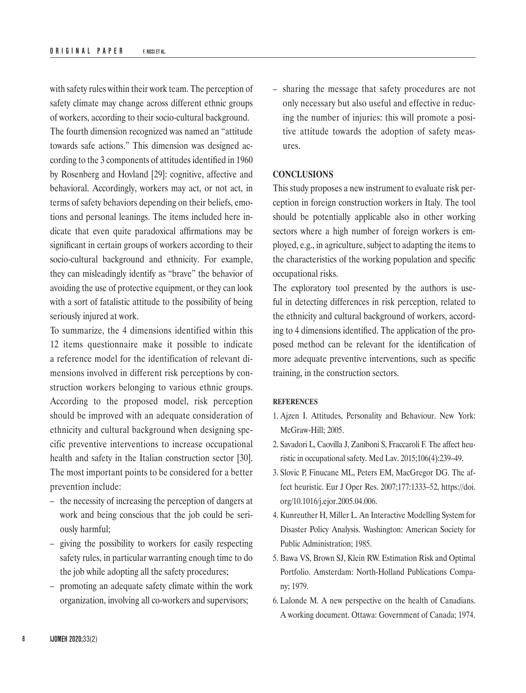with safety rules within their work team. The perception of safety climate may change across different ethnic groups of workers, according to their socio-cultural background. The fourth dimension recognized was named an "attitude towards safe actions." This dimension was designed according to the 3 components of attitudes identified in 1960 by Rosenberg and Hovland [29]: cognitive, affective and behavioral. Accordingly, workers may act, or not act, in terms of safety behaviors depending on their beliefs, emotions and personal leanings. The items included here indicate that even quite paradoxical affirmations may be significant in certain groups of workers according to their socio-cultural background and ethnicity. For example, they can misleadingly identify as "brave" the behavior of avoiding the use of protective equipment, or they can look with a sort of fatalistic attitude to the possibility of being seriously injured at work.

To summarize, the 4 dimensions identified within this 12 items questionnaire make it possible to indicate a reference model for the identification of relevant dimensions involved in different risk perceptions by construction workers belonging to various ethnic groups. According to the proposed model, risk perception should be improved with an adequate consideration of ethnicity and cultural background when designing specific preventive interventions to increase occupational health and safety in the Italian construction sector [30]. The most important points to be considered for a better prevention include:

- the necessity of increasing the perception of dangers at work and being conscious that the job could be seriously harmful;
- giving the possibility to workers for easily respecting safety rules, in particular warranting enough time to do the job while adopting all the safety procedures;
- promoting an adequate safety climate within the work organization, involving all co-workers and supervisors;

– sharing the message that safety procedures are not only necessary but also useful and effective in reducing the number of injuries: this will promote a positive attitude towards the adoption of safety measures.

#### **CONCLUSIONS**

This study proposes a new instrument to evaluate risk perception in foreign construction workers in Italy. The tool should be potentially applicable also in other working sectors where a high number of foreign workers is employed, e.g., in agriculture, subject to adapting the items to the characteristics of the working population and specific occupational risks.

The exploratory tool presented by the authors is useful in detecting differences in risk perception, related to the ethnicity and cultural background of workers, according to 4 dimensions identified. The application of the proposed method can be relevant for the identification of more adequate preventive interventions, such as specific training, in the construction sectors.

#### **REFERENCES**

- 1. Ajzen I. Attitudes, Personality and Behaviour. New York: McGraw-Hill; 2005.
- 2. Savadori L, Caovilla J, Zaniboni S, Fraccaroli F. The affect heuristic in occupational safety. Med Lav. 2015;106(4):239–49.
- 3. Slovic P, Finucane ML, Peters EM, MacGregor DG. The affect heuristic. Eur J Oper Res. 2007;177:1333–52, [https://doi.](https://doi.org/10.1016/j.ejor.2005.04.006) [org/10.1016/j.ejor.2005.04.006](https://doi.org/10.1016/j.ejor.2005.04.006).
- 4. Kunreuther H, Miller L. An Interactive Modelling System for Disaster Policy Analysis. Washington: American Society for Public Administration; 1985.
- 5. Bawa VS, Brown SJ, Klein RW. Estimation Risk and Optimal Portfolio. Amsterdam: North-Holland Publications Company; 1979.
- 6. Lalonde M. A new perspective on the health of Canadians. A working document. Ottawa: Government of Canada; 1974.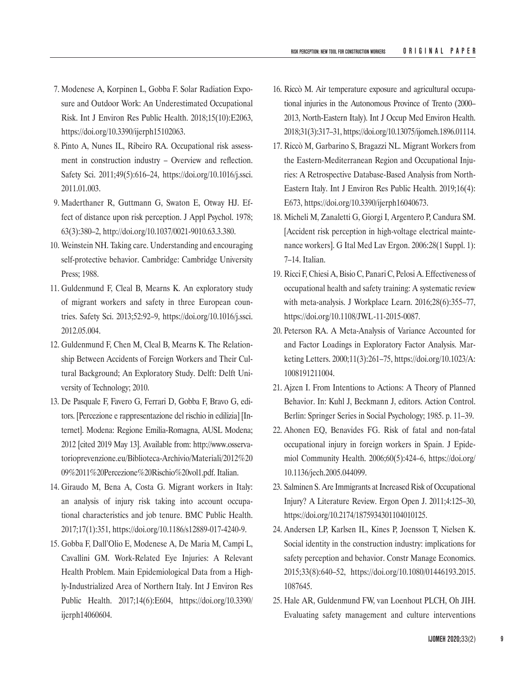- 7. Modenese A, Korpinen L, Gobba F. Solar Radiation Exposure and Outdoor Work: An Underestimated Occupational Risk. Int J Environ Res Public Health. 2018;15(10):E2063, <https://doi.org/10.3390/ijerph15102063>.
- 8. Pinto A, Nunes IL, Ribeiro RA. Occupational risk assessment in construction industry – Overview and reflection. Safety Sci. 2011;49(5):616–24, [https://doi.org/10.1016/j.ssci.](https://doi.org/10.1016/j.ssci.2011.01.003) [2011.01.003.](https://doi.org/10.1016/j.ssci.2011.01.003)
- 9. Maderthaner R, Guttmann G, Swaton E, Otway HJ. Effect of distance upon risk perception. J Appl Psychol. 1978; 63(3):380–2, <http://doi.org/10.1037/0021-9010.63.3.380>.
- 10. Weinstein NH. Taking care. Understanding and encouraging self-protective behavior. Cambridge: Cambridge University Press; 1988.
- 11. Guldenmund F, Cleal B, Mearns K. An exploratory study of migrant workers and safety in three European countries. Safety Sci. 2013;52:92–9, [https://doi.org/10.1016/j.ssci.](https://doi.org/10.1016/j.ssci.2012.05.004) [2012.05.004](https://doi.org/10.1016/j.ssci.2012.05.004).
- 12. Guldenmund F, Chen M, Cleal B, Mearns K. The Relationship Between Accidents of Foreign Workers and Their Cultural Background; An Exploratory Study. Delft: Delft University of Technology; 2010.
- 13. De Pasquale F, Favero G, Ferrari D, Gobba F, Bravo G, editors. [Percezione e rappresentazione del rischio in edilizia] [Internet]. Modena: Regione Emilia-Romagna, AUSL Modena; 2012 [cited 2019 May 13]. Available from: [http://www.osserva](http://www.osservatorioprevenzione.eu/Biblioteca-Archivio/Materiali/2012 09 11 Percezione Rischio vol1.pdf)[torioprevenzione.eu/Biblioteca-Archivio/Materiali/2012%20](http://www.osservatorioprevenzione.eu/Biblioteca-Archivio/Materiali/2012 09 11 Percezione Rischio vol1.pdf) [09%2011%20Percezione%20Rischio%20vol1.pdf](http://www.osservatorioprevenzione.eu/Biblioteca-Archivio/Materiali/2012 09 11 Percezione Rischio vol1.pdf). Italian.
- 14. Giraudo M, Bena A, Costa G. Migrant workers in Italy: an analysis of injury risk taking into account occupational characteristics and job tenure. BMC Public Health. 2017;17(1):351,<https://doi.org/10.1186/s12889-017-4240-9>.
- 15. Gobba F, Dall'Olio E, Modenese A, De Maria M, Campi L, Cavallini GM. Work-Related Eye Injuries: A Relevant Health Problem. Main Epidemiological Data from a Highly-Industrialized Area of Northern Italy. Int J Environ Res Public Health. 2017;14(6):E604, [https://doi.org/10.3390/](https://doi.org/10.3390/ijerph14060604) [ijerph14060604](https://doi.org/10.3390/ijerph14060604).
- 16. Riccò M. Air temperature exposure and agricultural occupational injuries in the Autonomous Province of Trento (2000– 2013, North-Eastern Italy). Int J Occup Med Environ Health. 2018;31(3):317–31,<https://doi.org/10.13075/ijomeh.1896.01114>.
- 17. Riccò M, Garbarino S, Bragazzi NL. Migrant Workers from the Eastern-Mediterranean Region and Occupational Injuries: A Retrospective Database-Based Analysis from North-Eastern Italy. Int J Environ Res Public Health. 2019;16(4): E673, <https://doi.org/10.3390/ijerph16040673>.
- 18. Micheli M, Zanaletti G, Giorgi I, Argentero P, Candura SM. [Accident risk perception in high-voltage electrical maintenance workers]. G Ital Med Lav Ergon. 2006:28(1 Suppl. 1): 7–14. Italian.
- 19. Ricci F, Chiesi A, Bisio C, Panari C, Pelosi A. Effectiveness of occupational health and safety training: A systematic review with meta-analysis. J Workplace Learn. 2016;28(6):355–77, <https://doi.org/10.1108/JWL-11-2015-0087>.
- 20. Peterson RA. A Meta-Analysis of Variance Accounted for and Factor Loadings in Exploratory Factor Analysis. Marketing Letters. 2000;11(3):261–75, [https://doi.org/10.1023/A:](https://doi.org/10.1023/A:1008191211004) [1008191211004](https://doi.org/10.1023/A:1008191211004).
- 21. Ajzen I. From Intentions to Actions: A Theory of Planned Behavior. In: Kuhl J, Beckmann J, editors. Action Control. Berlin: Springer Series in Social Psychology; 1985. p. 11–39.
- 22. Ahonen EQ, Benavides FG. Risk of fatal and non-fatal occupational injury in foreign workers in Spain. J Epidemiol Community Health. 2006;60(5):424–6, [https://doi.org/](https://doi.org/10.1136/jech.2005.044099) [10.1136/jech.2005.044099](https://doi.org/10.1136/jech.2005.044099).
- 23. Salminen S. Are Immigrants at Increased Risk of Occupational Injury? A Literature Review. Ergon Open J. 2011;4:125–30, <https://doi.org/10.2174/1875934301104010125>.
- 24. Andersen LP, Karlsen IL, Kines P, Joensson T, Nielsen K. Social identity in the construction industry: implications for safety perception and behavior. Constr Manage Economics. 2015;33(8):640–52, [https://doi.org/10.1080/01446193.2015.](https://doi.org/10.1080/01446193.2015.1087645) [1087645](https://doi.org/10.1080/01446193.2015.1087645).
- 25. Hale AR, Guldenmund FW, van Loenhout PLCH, Oh JIH. Evaluating safety management and culture interventions